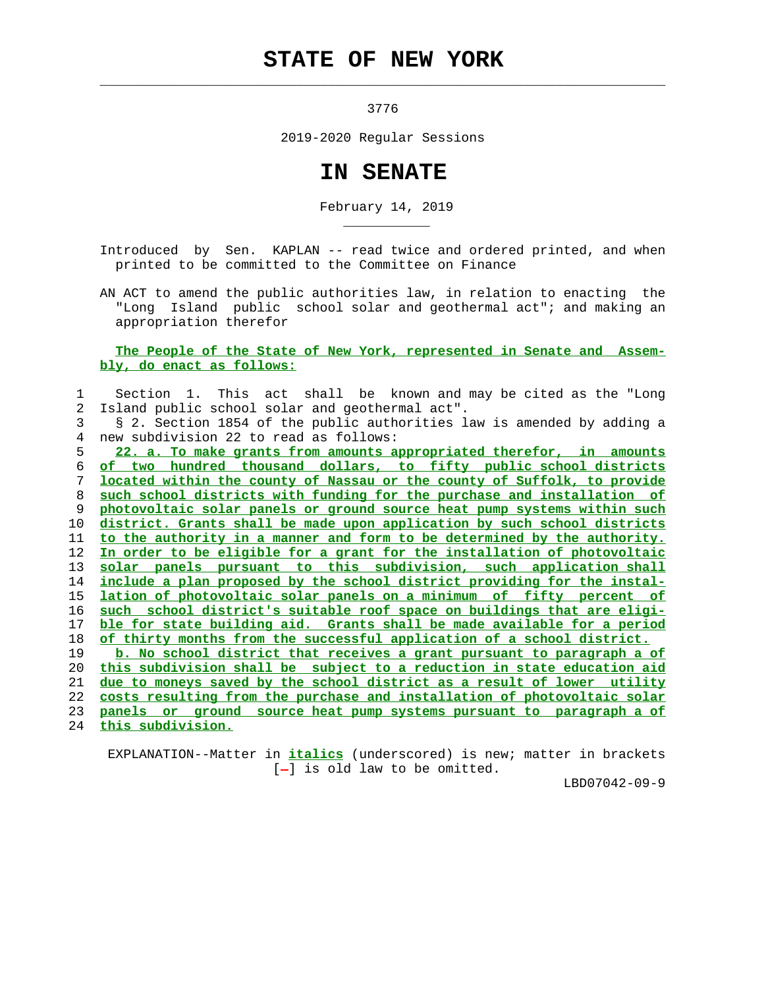## **STATE OF NEW YORK**

 $\mathcal{L}_\text{max} = \frac{1}{2} \sum_{i=1}^{n} \frac{1}{2} \sum_{i=1}^{n} \frac{1}{2} \sum_{i=1}^{n} \frac{1}{2} \sum_{i=1}^{n} \frac{1}{2} \sum_{i=1}^{n} \frac{1}{2} \sum_{i=1}^{n} \frac{1}{2} \sum_{i=1}^{n} \frac{1}{2} \sum_{i=1}^{n} \frac{1}{2} \sum_{i=1}^{n} \frac{1}{2} \sum_{i=1}^{n} \frac{1}{2} \sum_{i=1}^{n} \frac{1}{2} \sum_{i=1}^{n} \frac{1$ 

\_\_\_\_\_\_\_\_\_\_\_

3776

2019-2020 Regular Sessions

## **IN SENATE**

February 14, 2019

 Introduced by Sen. KAPLAN -- read twice and ordered printed, and when printed to be committed to the Committee on Finance

 AN ACT to amend the public authorities law, in relation to enacting the "Long Island public school solar and geothermal act"; and making an appropriation therefor

 **The People of the State of New York, represented in Senate and Assem bly, do enact as follows:**

## 1 Section 1. This act shall be known and may be cited as the "Long 2 Island public school solar and geothermal act". 3 § 2. Section 1854 of the public authorities law is amended by adding a 4 new subdivision 22 to read as follows:

**22. a. To make grants from amounts appropriated therefor, in amounts of two hundred thousand dollars, to fifty public school districts located within the county of Nassau or the county of Suffolk, to provide such school districts with funding for the purchase and installation of photovoltaic solar panels or ground source heat pump systems within such district. Grants shall be made upon application by such school districts to the authority in a manner and form to be determined by the authority. In order to be eligible for a grant for the installation of photovoltaic solar panels pursuant to this subdivision, such application shall include a plan proposed by the school district providing for the instal- lation of photovoltaic solar panels on a minimum of fifty percent of such school district's suitable roof space on buildings that are eligi- ble for state building aid. Grants shall be made available for a period of thirty months from the successful application of a school district. b. No school district that receives a grant pursuant to paragraph a of**

**this subdivision shall be subject to a reduction in state education aid due to moneys saved by the school district as a result of lower utility costs resulting from the purchase and installation of photovoltaic solar panels or ground source heat pump systems pursuant to paragraph a of**

24 **this subdivision.**

 EXPLANATION--Matter in **italics** (underscored) is new; matter in brackets  $[-]$  is old law to be omitted.

LBD07042-09-9